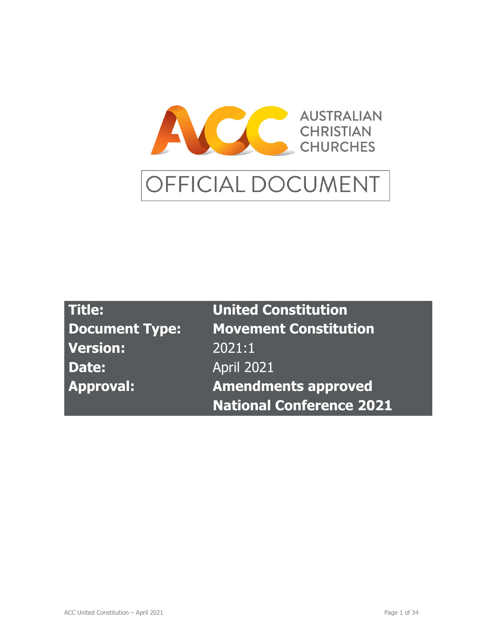

| Title:                | <b>United Constitution</b>      |
|-----------------------|---------------------------------|
| <b>Document Type:</b> | <b>Movement Constitution</b>    |
| <b>Version:</b>       | 2021:1                          |
| Date:                 | <b>April 2021</b>               |
| <b>Approval:</b>      | <b>Amendments approved</b>      |
|                       | <b>National Conference 2021</b> |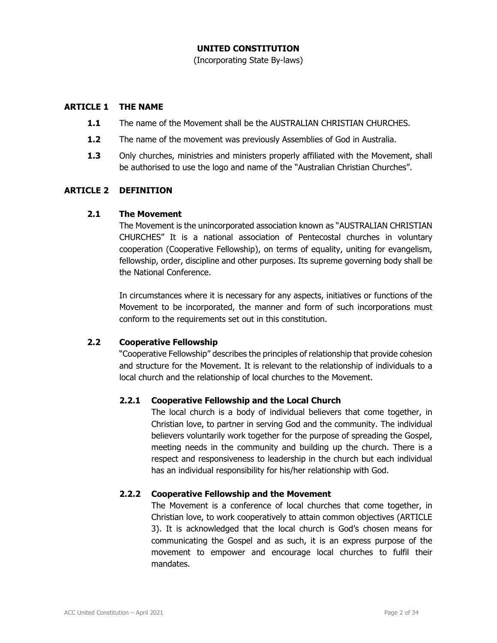### **UNITED CONSTITUTION**

(Incorporating State By-laws)

### **ARTICLE 1 THE NAME**

- **1.1** The name of the Movement shall be the AUSTRALIAN CHRISTIAN CHURCHES.
- **1.2** The name of the movement was previously Assemblies of God in Australia.
- **1.3** Only churches, ministries and ministers properly affiliated with the Movement, shall be authorised to use the logo and name of the "Australian Christian Churches".

#### **ARTICLE 2 DEFINITION**

#### **2.1 The Movement**

 The Movement is the unincorporated association known as "AUSTRALIAN CHRISTIAN CHURCHES" It is a national association of Pentecostal churches in voluntary cooperation (Cooperative Fellowship), on terms of equality, uniting for evangelism, fellowship, order, discipline and other purposes. Its supreme governing body shall be the National Conference.

In circumstances where it is necessary for any aspects, initiatives or functions of the Movement to be incorporated, the manner and form of such incorporations must conform to the requirements set out in this constitution.

### **2.2 Cooperative Fellowship**

 "Cooperative Fellowship" describes the principles of relationship that provide cohesion and structure for the Movement. It is relevant to the relationship of individuals to a local church and the relationship of local churches to the Movement.

### **2.2.1 Cooperative Fellowship and the Local Church**

 The local church is a body of individual believers that come together, in Christian love, to partner in serving God and the community. The individual believers voluntarily work together for the purpose of spreading the Gospel, meeting needs in the community and building up the church. There is a respect and responsiveness to leadership in the church but each individual has an individual responsibility for his/her relationship with God.

### **2.2.2 Cooperative Fellowship and the Movement**

 The Movement is a conference of local churches that come together, in Christian love, to work cooperatively to attain common objectives (ARTICLE 3). It is acknowledged that the local church is God's chosen means for communicating the Gospel and as such, it is an express purpose of the movement to empower and encourage local churches to fulfil their mandates.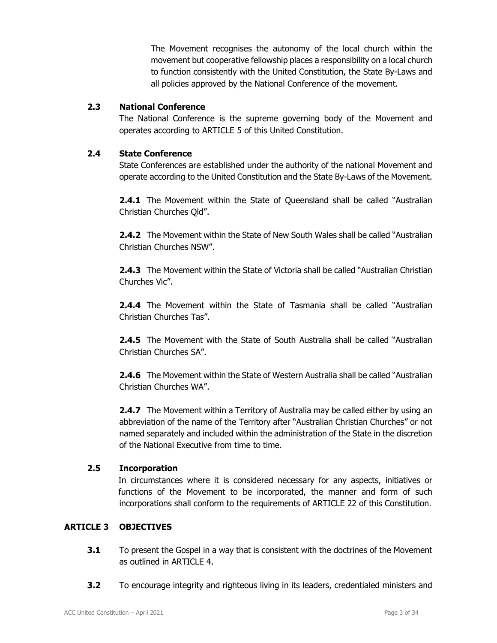The Movement recognises the autonomy of the local church within the movement but cooperative fellowship places a responsibility on a local church to function consistently with the United Constitution, the State By-Laws and all policies approved by the National Conference of the movement.

# **2.3 National Conference**

 The National Conference is the supreme governing body of the Movement and operates according to ARTICLE 5 of this United Constitution.

# **2.4 State Conference**

State Conferences are established under the authority of the national Movement and operate according to the United Constitution and the State By-Laws of the Movement.

**2.4.1** The Movement within the State of Queensland shall be called "Australian Christian Churches Qld".

**2.4.2** The Movement within the State of New South Wales shall be called "Australian Christian Churches NSW".

**2.4.3** The Movement within the State of Victoria shall be called "Australian Christian Churches Vic".

**2.4.4** The Movement within the State of Tasmania shall be called "Australian Christian Churches Tas".

**2.4.5** The Movement with the State of South Australia shall be called "Australian Christian Churches SA".

**2.4.6** The Movement within the State of Western Australia shall be called "Australian Christian Churches WA".

**2.4.7** The Movement within a Territory of Australia may be called either by using an abbreviation of the name of the Territory after "Australian Christian Churches" or not named separately and included within the administration of the State in the discretion of the National Executive from time to time.

# **2.5 Incorporation**

In circumstances where it is considered necessary for any aspects, initiatives or functions of the Movement to be incorporated, the manner and form of such incorporations shall conform to the requirements of ARTICLE 22 of this Constitution.

# **ARTICLE 3 OBJECTIVES**

- **3.1** To present the Gospel in a way that is consistent with the doctrines of the Movement as outlined in ARTICLE 4.
- **3.2** To encourage integrity and righteous living in its leaders, credentialed ministers and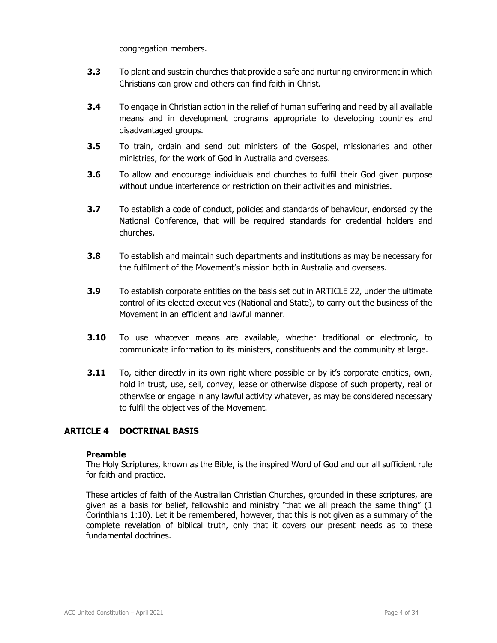congregation members.

- **3.3** To plant and sustain churches that provide a safe and nurturing environment in which Christians can grow and others can find faith in Christ.
- **3.4** To engage in Christian action in the relief of human suffering and need by all available means and in development programs appropriate to developing countries and disadvantaged groups.
- **3.5** To train, ordain and send out ministers of the Gospel, missionaries and other ministries, for the work of God in Australia and overseas.
- **3.6** To allow and encourage individuals and churches to fulfil their God given purpose without undue interference or restriction on their activities and ministries.
- **3.7** To establish a code of conduct, policies and standards of behaviour, endorsed by the National Conference, that will be required standards for credential holders and churches.
- **3.8** To establish and maintain such departments and institutions as may be necessary for the fulfilment of the Movement's mission both in Australia and overseas.
- **3.9** To establish corporate entities on the basis set out in ARTICLE 22, under the ultimate control of its elected executives (National and State), to carry out the business of the Movement in an efficient and lawful manner.
- **3.10** To use whatever means are available, whether traditional or electronic, to communicate information to its ministers, constituents and the community at large.
- **3.11** To, either directly in its own right where possible or by it's corporate entities, own, hold in trust, use, sell, convey, lease or otherwise dispose of such property, real or otherwise or engage in any lawful activity whatever, as may be considered necessary to fulfil the objectives of the Movement.

# **ARTICLE 4 DOCTRINAL BASIS**

#### **Preamble**

The Holy Scriptures, known as the Bible, is the inspired Word of God and our all sufficient rule for faith and practice.

These articles of faith of the Australian Christian Churches, grounded in these scriptures, are given as a basis for belief, fellowship and ministry "that we all preach the same thing" (1 Corinthians 1:10). Let it be remembered, however, that this is not given as a summary of the complete revelation of biblical truth, only that it covers our present needs as to these fundamental doctrines.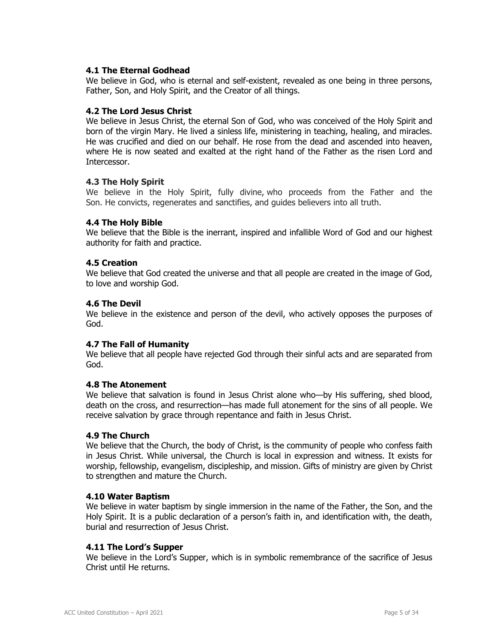#### **4.1 The Eternal Godhead**

We believe in God, who is eternal and self-existent, revealed as one being in three persons, Father, Son, and Holy Spirit, and the Creator of all things.

#### **4.2 The Lord Jesus Christ**

We believe in Jesus Christ, the eternal Son of God, who was conceived of the Holy Spirit and born of the virgin Mary. He lived a sinless life, ministering in teaching, healing, and miracles. He was crucified and died on our behalf. He rose from the dead and ascended into heaven, where He is now seated and exalted at the right hand of the Father as the risen Lord and Intercessor.

#### **4.3 The Holy Spirit**

We believe in the Holy Spirit, fully divine, who proceeds from the Father and the Son. He convicts, regenerates and sanctifies, and guides believers into all truth.

#### **4.4 The Holy Bible**

We believe that the Bible is the inerrant, inspired and infallible Word of God and our highest authority for faith and practice.

#### **4.5 Creation**

We believe that God created the universe and that all people are created in the image of God, to love and worship God.

#### **4.6 The Devil**

We believe in the existence and person of the devil, who actively opposes the purposes of God.

### **4.7 The Fall of Humanity**

We believe that all people have rejected God through their sinful acts and are separated from God.

#### **4.8 The Atonement**

We believe that salvation is found in Jesus Christ alone who—by His suffering, shed blood, death on the cross, and resurrection—has made full atonement for the sins of all people. We receive salvation by grace through repentance and faith in Jesus Christ.

#### **4.9 The Church**

We believe that the Church, the body of Christ, is the community of people who confess faith in Jesus Christ. While universal, the Church is local in expression and witness. It exists for worship, fellowship, evangelism, discipleship, and mission. Gifts of ministry are given by Christ to strengthen and mature the Church.

#### **4.10 Water Baptism**

We believe in water baptism by single immersion in the name of the Father, the Son, and the Holy Spirit. It is a public declaration of a person's faith in, and identification with, the death, burial and resurrection of Jesus Christ.

#### **4.11 The Lord's Supper**

We believe in the Lord's Supper, which is in symbolic remembrance of the sacrifice of Jesus Christ until He returns.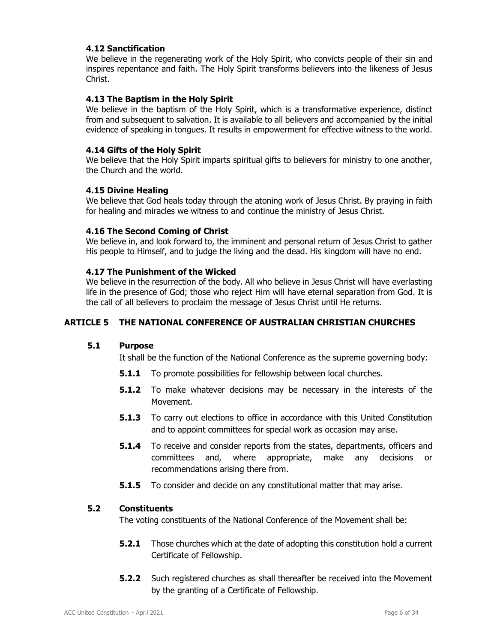### **4.12 Sanctification**

We believe in the regenerating work of the Holy Spirit, who convicts people of their sin and inspires repentance and faith. The Holy Spirit transforms believers into the likeness of Jesus Christ.

### **4.13 The Baptism in the Holy Spirit**

We believe in the baptism of the Holy Spirit, which is a transformative experience, distinct from and subsequent to salvation. It is available to all believers and accompanied by the initial evidence of speaking in tongues. It results in empowerment for effective witness to the world.

### **4.14 Gifts of the Holy Spirit**

We believe that the Holy Spirit imparts spiritual gifts to believers for ministry to one another, the Church and the world.

### **4.15 Divine Healing**

We believe that God heals today through the atoning work of Jesus Christ. By praying in faith for healing and miracles we witness to and continue the ministry of Jesus Christ.

### **4.16 The Second Coming of Christ**

We believe in, and look forward to, the imminent and personal return of Jesus Christ to gather His people to Himself, and to judge the living and the dead. His kingdom will have no end.

### **4.17 The Punishment of the Wicked**

We believe in the resurrection of the body. All who believe in Jesus Christ will have everlasting life in the presence of God; those who reject Him will have eternal separation from God. It is the call of all believers to proclaim the message of Jesus Christ until He returns.

# **ARTICLE 5 THE NATIONAL CONFERENCE OF AUSTRALIAN CHRISTIAN CHURCHES**

### **5.1 Purpose**

It shall be the function of the National Conference as the supreme governing body:

- **5.1.1** To promote possibilities for fellowship between local churches.
- **5.1.2** To make whatever decisions may be necessary in the interests of the Movement.
- **5.1.3** To carry out elections to office in accordance with this United Constitution and to appoint committees for special work as occasion may arise.
- **5.1.4** To receive and consider reports from the states, departments, officers and committees and, where appropriate, make any decisions or recommendations arising there from.
- **5.1.5** To consider and decide on any constitutional matter that may arise.

### **5.2 Constituents**

The voting constituents of the National Conference of the Movement shall be:

- **5.2.1** Those churches which at the date of adopting this constitution hold a current Certificate of Fellowship.
- **5.2.2** Such registered churches as shall thereafter be received into the Movement by the granting of a Certificate of Fellowship.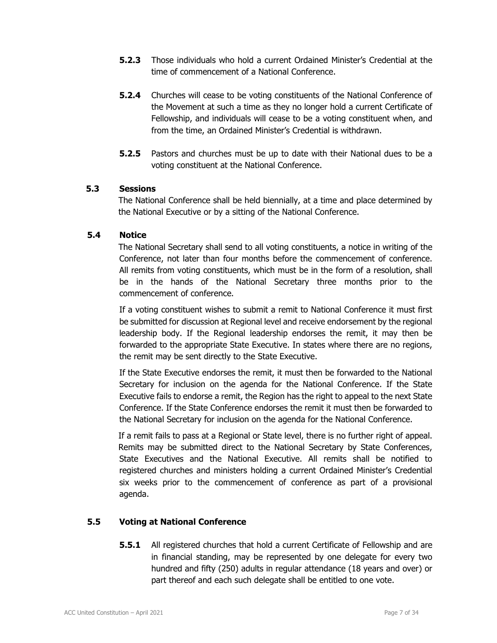- **5.2.3** Those individuals who hold a current Ordained Minister's Credential at the time of commencement of a National Conference.
- **5.2.4** Churches will cease to be voting constituents of the National Conference of the Movement at such a time as they no longer hold a current Certificate of Fellowship, and individuals will cease to be a voting constituent when, and from the time, an Ordained Minister's Credential is withdrawn.
- **5.2.5** Pastors and churches must be up to date with their National dues to be a voting constituent at the National Conference.

### **5.3 Sessions**

The National Conference shall be held biennially, at a time and place determined by the National Executive or by a sitting of the National Conference.

### **5.4 Notice**

The National Secretary shall send to all voting constituents, a notice in writing of the Conference, not later than four months before the commencement of conference. All remits from voting constituents, which must be in the form of a resolution, shall be in the hands of the National Secretary three months prior to the commencement of conference.

If a voting constituent wishes to submit a remit to National Conference it must first be submitted for discussion at Regional level and receive endorsement by the regional leadership body. If the Regional leadership endorses the remit, it may then be forwarded to the appropriate State Executive. In states where there are no regions, the remit may be sent directly to the State Executive.

If the State Executive endorses the remit, it must then be forwarded to the National Secretary for inclusion on the agenda for the National Conference. If the State Executive fails to endorse a remit, the Region has the right to appeal to the next State Conference. If the State Conference endorses the remit it must then be forwarded to the National Secretary for inclusion on the agenda for the National Conference.

If a remit fails to pass at a Regional or State level, there is no further right of appeal. Remits may be submitted direct to the National Secretary by State Conferences, State Executives and the National Executive. All remits shall be notified to registered churches and ministers holding a current Ordained Minister's Credential six weeks prior to the commencement of conference as part of a provisional agenda.

# **5.5 Voting at National Conference**

**5.5.1** All registered churches that hold a current Certificate of Fellowship and are in financial standing, may be represented by one delegate for every two hundred and fifty (250) adults in regular attendance (18 years and over) or part thereof and each such delegate shall be entitled to one vote.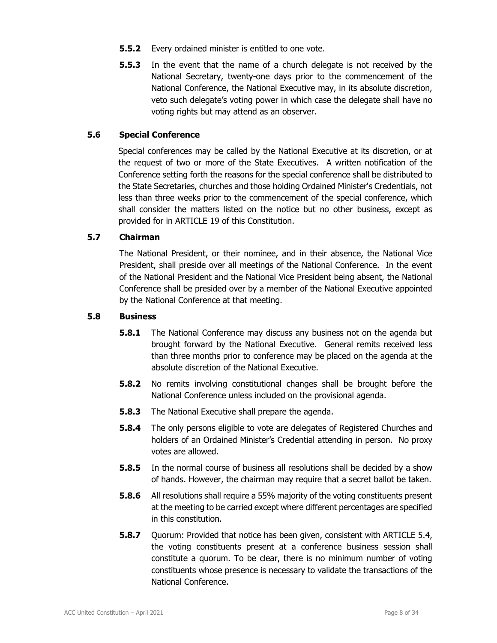- **5.5.2** Every ordained minister is entitled to one vote.
- **5.5.3** In the event that the name of a church delegate is not received by the National Secretary, twenty-one days prior to the commencement of the National Conference, the National Executive may, in its absolute discretion, veto such delegate's voting power in which case the delegate shall have no voting rights but may attend as an observer.

### **5.6 Special Conference**

Special conferences may be called by the National Executive at its discretion, or at the request of two or more of the State Executives. A written notification of the Conference setting forth the reasons for the special conference shall be distributed to the State Secretaries, churches and those holding Ordained Minister's Credentials, not less than three weeks prior to the commencement of the special conference, which shall consider the matters listed on the notice but no other business, except as provided for in ARTICLE 19 of this Constitution.

### **5.7 Chairman**

The National President, or their nominee, and in their absence, the National Vice President, shall preside over all meetings of the National Conference. In the event of the National President and the National Vice President being absent, the National Conference shall be presided over by a member of the National Executive appointed by the National Conference at that meeting.

### **5.8 Business**

- **5.8.1** The National Conference may discuss any business not on the agenda but brought forward by the National Executive. General remits received less than three months prior to conference may be placed on the agenda at the absolute discretion of the National Executive.
- **5.8.2** No remits involving constitutional changes shall be brought before the National Conference unless included on the provisional agenda.
- **5.8.3** The National Executive shall prepare the agenda.
- **5.8.4** The only persons eligible to vote are delegates of Registered Churches and holders of an Ordained Minister's Credential attending in person. No proxy votes are allowed.
- **5.8.5** In the normal course of business all resolutions shall be decided by a show of hands. However, the chairman may require that a secret ballot be taken.
- **5.8.6** All resolutions shall require a 55% majority of the voting constituents present at the meeting to be carried except where different percentages are specified in this constitution.
- **5.8.7** Quorum: Provided that notice has been given, consistent with ARTICLE 5.4, the voting constituents present at a conference business session shall constitute a quorum. To be clear, there is no minimum number of voting constituents whose presence is necessary to validate the transactions of the National Conference.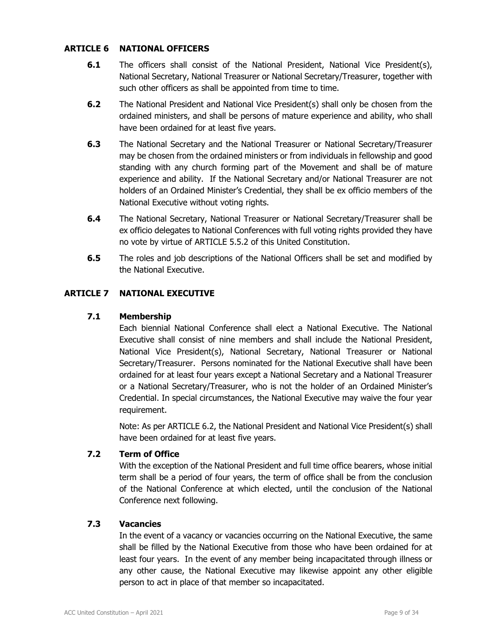### **ARTICLE 6 NATIONAL OFFICERS**

- **6.1** The officers shall consist of the National President, National Vice President(s), National Secretary, National Treasurer or National Secretary/Treasurer, together with such other officers as shall be appointed from time to time.
- **6.2** The National President and National Vice President(s) shall only be chosen from the ordained ministers, and shall be persons of mature experience and ability, who shall have been ordained for at least five years.
- **6.3** The National Secretary and the National Treasurer or National Secretary/Treasurer may be chosen from the ordained ministers or from individuals in fellowship and good standing with any church forming part of the Movement and shall be of mature experience and ability. If the National Secretary and/or National Treasurer are not holders of an Ordained Minister's Credential, they shall be ex officio members of the National Executive without voting rights.
- **6.4** The National Secretary, National Treasurer or National Secretary/Treasurer shall be ex officio delegates to National Conferences with full voting rights provided they have no vote by virtue of ARTICLE 5.5.2 of this United Constitution.
- **6.5** The roles and job descriptions of the National Officers shall be set and modified by the National Executive.

# **ARTICLE 7 NATIONAL EXECUTIVE**

### **7.1 Membership**

 Each biennial National Conference shall elect a National Executive. The National Executive shall consist of nine members and shall include the National President, National Vice President(s), National Secretary, National Treasurer or National Secretary/Treasurer. Persons nominated for the National Executive shall have been ordained for at least four years except a National Secretary and a National Treasurer or a National Secretary/Treasurer, who is not the holder of an Ordained Minister's Credential. In special circumstances, the National Executive may waive the four year requirement.

 Note: As per ARTICLE 6.2, the National President and National Vice President(s) shall have been ordained for at least five years.

# **7.2 Term of Office**

 With the exception of the National President and full time office bearers, whose initial term shall be a period of four years, the term of office shall be from the conclusion of the National Conference at which elected, until the conclusion of the National Conference next following.

### **7.3 Vacancies**

 In the event of a vacancy or vacancies occurring on the National Executive, the same shall be filled by the National Executive from those who have been ordained for at least four years. In the event of any member being incapacitated through illness or any other cause, the National Executive may likewise appoint any other eligible person to act in place of that member so incapacitated.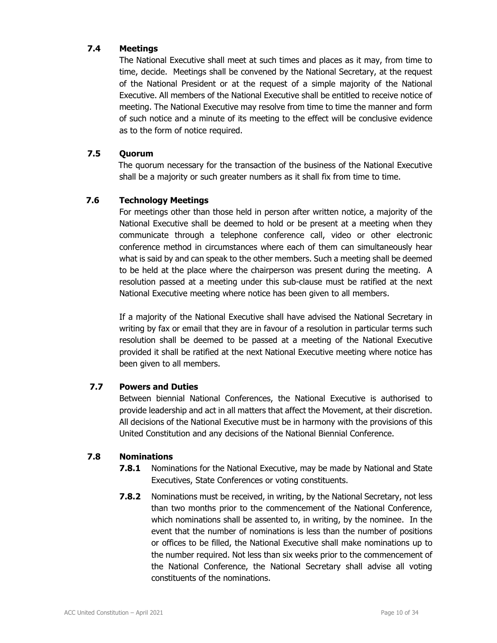# **7.4 Meetings**

 The National Executive shall meet at such times and places as it may, from time to time, decide. Meetings shall be convened by the National Secretary, at the request of the National President or at the request of a simple majority of the National Executive. All members of the National Executive shall be entitled to receive notice of meeting. The National Executive may resolve from time to time the manner and form of such notice and a minute of its meeting to the effect will be conclusive evidence as to the form of notice required.

### **7.5 Quorum**

The quorum necessary for the transaction of the business of the National Executive shall be a majority or such greater numbers as it shall fix from time to time.

# **7.6 Technology Meetings**

For meetings other than those held in person after written notice, a majority of the National Executive shall be deemed to hold or be present at a meeting when they communicate through a telephone conference call, video or other electronic conference method in circumstances where each of them can simultaneously hear what is said by and can speak to the other members. Such a meeting shall be deemed to be held at the place where the chairperson was present during the meeting. A resolution passed at a meeting under this sub-clause must be ratified at the next National Executive meeting where notice has been given to all members.

 If a majority of the National Executive shall have advised the National Secretary in writing by fax or email that they are in favour of a resolution in particular terms such resolution shall be deemed to be passed at a meeting of the National Executive provided it shall be ratified at the next National Executive meeting where notice has been given to all members.

# **7.7 Powers and Duties**

 Between biennial National Conferences, the National Executive is authorised to provide leadership and act in all matters that affect the Movement, at their discretion. All decisions of the National Executive must be in harmony with the provisions of this United Constitution and any decisions of the National Biennial Conference.

# **7.8 Nominations**

- **7.8.1** Nominations for the National Executive, may be made by National and State Executives, State Conferences or voting constituents.
- **7.8.2** Nominations must be received, in writing, by the National Secretary, not less than two months prior to the commencement of the National Conference, which nominations shall be assented to, in writing, by the nominee. In the event that the number of nominations is less than the number of positions or offices to be filled, the National Executive shall make nominations up to the number required. Not less than six weeks prior to the commencement of the National Conference, the National Secretary shall advise all voting constituents of the nominations.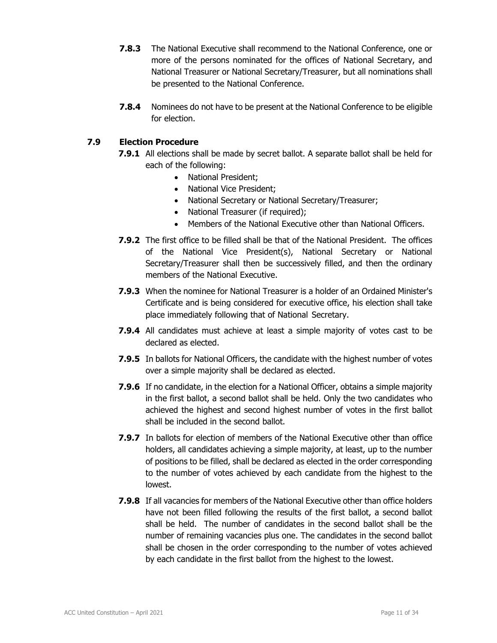- **7.8.3** The National Executive shall recommend to the National Conference, one or more of the persons nominated for the offices of National Secretary, and National Treasurer or National Secretary/Treasurer, but all nominations shall be presented to the National Conference.
- **7.8.4** Nominees do not have to be present at the National Conference to be eligible for election.

# **7.9 Election Procedure**

- **7.9.1** All elections shall be made by secret ballot. A separate ballot shall be held for each of the following:
	- National President;
	- National Vice President:
	- National Secretary or National Secretary/Treasurer;
	- National Treasurer (if required);
	- Members of the National Executive other than National Officers.
- **7.9.2** The first office to be filled shall be that of the National President. The offices of the National Vice President(s), National Secretary or National Secretary/Treasurer shall then be successively filled, and then the ordinary members of the National Executive.
- **7.9.3** When the nominee for National Treasurer is a holder of an Ordained Minister's Certificate and is being considered for executive office, his election shall take place immediately following that of National Secretary.
- **7.9.4** All candidates must achieve at least a simple majority of votes cast to be declared as elected.
- **7.9.5** In ballots for National Officers, the candidate with the highest number of votes over a simple majority shall be declared as elected.
- **7.9.6** If no candidate, in the election for a National Officer, obtains a simple majority in the first ballot, a second ballot shall be held. Only the two candidates who achieved the highest and second highest number of votes in the first ballot shall be included in the second ballot.
- **7.9.7** In ballots for election of members of the National Executive other than office holders, all candidates achieving a simple majority, at least, up to the number of positions to be filled, shall be declared as elected in the order corresponding to the number of votes achieved by each candidate from the highest to the lowest.
- **7.9.8** If all vacancies for members of the National Executive other than office holders have not been filled following the results of the first ballot, a second ballot shall be held. The number of candidates in the second ballot shall be the number of remaining vacancies plus one. The candidates in the second ballot shall be chosen in the order corresponding to the number of votes achieved by each candidate in the first ballot from the highest to the lowest.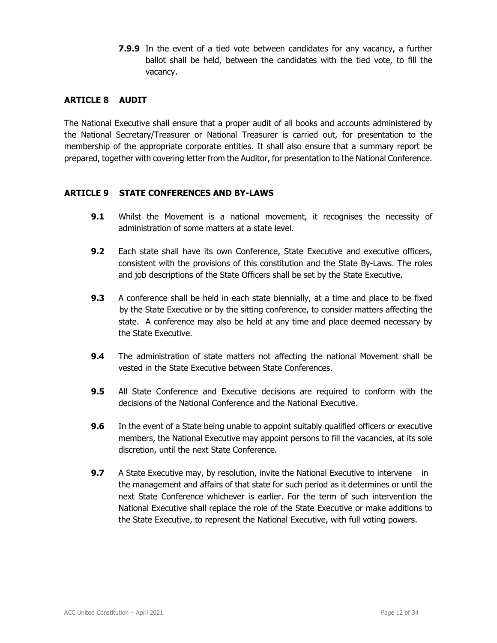**7.9.9** In the event of a tied vote between candidates for any vacancy, a further ballot shall be held, between the candidates with the tied vote, to fill the vacancy.

### **ARTICLE 8 AUDIT**

The National Executive shall ensure that a proper audit of all books and accounts administered by the National Secretary/Treasurer or National Treasurer is carried out, for presentation to the membership of the appropriate corporate entities. It shall also ensure that a summary report be prepared, together with covering letter from the Auditor, for presentation to the National Conference.

### **ARTICLE 9 STATE CONFERENCES AND BY-LAWS**

- **9.1** Whilst the Movement is a national movement, it recognises the necessity of administration of some matters at a state level.
- **9.2** Each state shall have its own Conference, State Executive and executive officers, consistent with the provisions of this constitution and the State By-Laws. The roles and job descriptions of the State Officers shall be set by the State Executive.
- **9.3** A conference shall be held in each state biennially, at a time and place to be fixed by the State Executive or by the sitting conference, to consider matters affecting the state. A conference may also be held at any time and place deemed necessary by the State Executive.
- **9.4** The administration of state matters not affecting the national Movement shall be vested in the State Executive between State Conferences.
- **9.5** All State Conference and Executive decisions are required to conform with the decisions of the National Conference and the National Executive.
- **9.6** In the event of a State being unable to appoint suitably qualified officers or executive members, the National Executive may appoint persons to fill the vacancies, at its sole discretion, until the next State Conference.
- **9.7** A State Executive may, by resolution, invite the National Executive to intervene in the management and affairs of that state for such period as it determines or until the next State Conference whichever is earlier. For the term of such intervention the National Executive shall replace the role of the State Executive or make additions to the State Executive, to represent the National Executive, with full voting powers.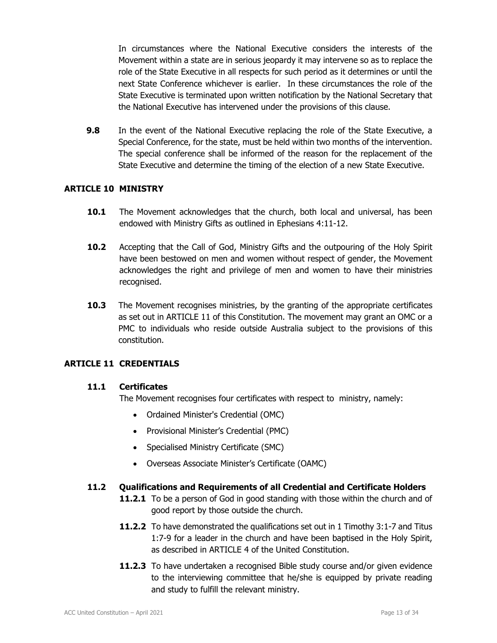In circumstances where the National Executive considers the interests of the Movement within a state are in serious jeopardy it may intervene so as to replace the role of the State Executive in all respects for such period as it determines or until the next State Conference whichever is earlier. In these circumstances the role of the State Executive is terminated upon written notification by the National Secretary that the National Executive has intervened under the provisions of this clause.

**9.8** In the event of the National Executive replacing the role of the State Executive, a Special Conference, for the state, must be held within two months of the intervention. The special conference shall be informed of the reason for the replacement of the State Executive and determine the timing of the election of a new State Executive.

### **ARTICLE 10 MINISTRY**

- **10.1** The Movement acknowledges that the church, both local and universal, has been endowed with Ministry Gifts as outlined in Ephesians 4:11-12.
- **10.2** Accepting that the Call of God, Ministry Gifts and the outpouring of the Holy Spirit have been bestowed on men and women without respect of gender, the Movement acknowledges the right and privilege of men and women to have their ministries recognised.
- **10.3** The Movement recognises ministries, by the granting of the appropriate certificates as set out in ARTICLE 11 of this Constitution. The movement may grant an OMC or a PMC to individuals who reside outside Australia subject to the provisions of this constitution.

# **ARTICLE 11 CREDENTIALS**

### **11.1 Certificates**

The Movement recognises four certificates with respect to ministry, namely:

- Ordained Minister's Credential (OMC)
- Provisional Minister's Credential (PMC)
- Specialised Ministry Certificate (SMC)
- Overseas Associate Minister's Certificate (OAMC)

### **11.2 Qualifications and Requirements of all Credential and Certificate Holders**

- **11.2.1** To be a person of God in good standing with those within the church and of good report by those outside the church.
- **11.2.2** To have demonstrated the qualifications set out in 1 Timothy 3:1-7 and Titus 1:7-9 for a leader in the church and have been baptised in the Holy Spirit, as described in ARTICLE 4 of the United Constitution.
- **11.2.3** To have undertaken a recognised Bible study course and/or given evidence to the interviewing committee that he/she is equipped by private reading and study to fulfill the relevant ministry.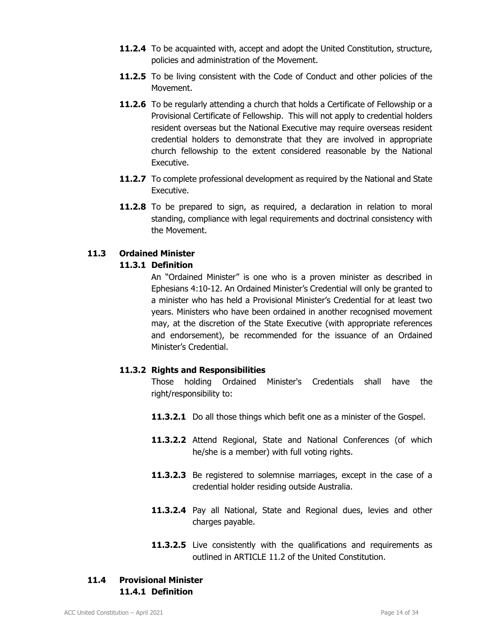- **11.2.4** To be acquainted with, accept and adopt the United Constitution, structure, policies and administration of the Movement.
- **11.2.5** To be living consistent with the Code of Conduct and other policies of the Movement.
- **11.2.6** To be regularly attending a church that holds a Certificate of Fellowship or a Provisional Certificate of Fellowship. This will not apply to credential holders resident overseas but the National Executive may require overseas resident credential holders to demonstrate that they are involved in appropriate church fellowship to the extent considered reasonable by the National Executive.
- **11.2.7** To complete professional development as required by the National and State Executive.
- **11.2.8** To be prepared to sign, as required, a declaration in relation to moral standing, compliance with legal requirements and doctrinal consistency with the Movement.

# **11.3 Ordained Minister**

# **11.3.1 Definition**

 An "Ordained Minister" is one who is a proven minister as described in Ephesians 4:10-12. An Ordained Minister's Credential will only be granted to a minister who has held a Provisional Minister's Credential for at least two years. Ministers who have been ordained in another recognised movement may, at the discretion of the State Executive (with appropriate references and endorsement), be recommended for the issuance of an Ordained Minister's Credential.

# **11.3.2 Rights and Responsibilities**

Those holding Ordained Minister's Credentials shall have the right/responsibility to:

- **11.3.2.1** Do all those things which befit one as a minister of the Gospel.
- **11.3.2.2** Attend Regional, State and National Conferences (of which he/she is a member) with full voting rights.
- **11.3.2.3** Be registered to solemnise marriages, except in the case of a credential holder residing outside Australia.
- **11.3.2.4** Pay all National, State and Regional dues, levies and other charges payable.
- 11.3.2.5 Live consistently with the qualifications and requirements as outlined in ARTICLE 11.2 of the United Constitution.

# **11.4 Provisional Minister 11.4.1 Definition**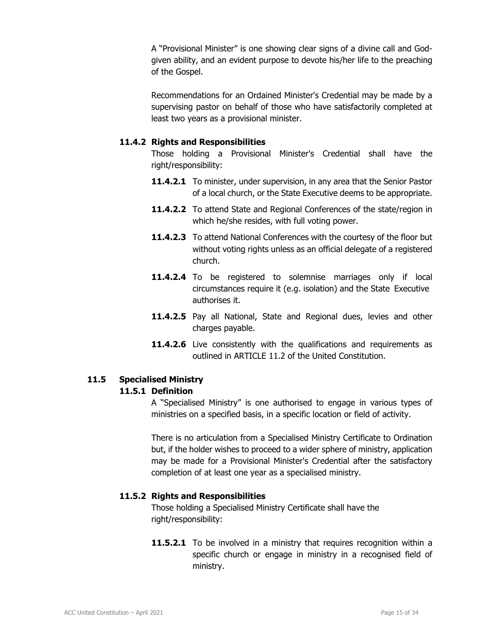A "Provisional Minister" is one showing clear signs of a divine call and Godgiven ability, and an evident purpose to devote his/her life to the preaching of the Gospel.

 Recommendations for an Ordained Minister's Credential may be made by a supervising pastor on behalf of those who have satisfactorily completed at least two years as a provisional minister.

### **11.4.2 Rights and Responsibilities**

 Those holding a Provisional Minister's Credential shall have the right/responsibility:

- **11.4.2.1** To minister, under supervision, in any area that the Senior Pastor of a local church, or the State Executive deems to be appropriate.
- 11.4.2.2 To attend State and Regional Conferences of the state/region in which he/she resides, with full voting power.
- **11.4.2.3** To attend National Conferences with the courtesy of the floor but without voting rights unless as an official delegate of a registered church.
- **11.4.2.4** To be registered to solemnise marriages only if local circumstances require it (e.g. isolation) and the State Executive authorises it.
- 11.4.2.5 Pay all National, State and Regional dues, levies and other charges payable.
- **11.4.2.6** Live consistently with the qualifications and requirements as outlined in ARTICLE 11.2 of the United Constitution.

# **11.5 Specialised Ministry**

### **11.5.1 Definition**

 A "Specialised Ministry" is one authorised to engage in various types of ministries on a specified basis, in a specific location or field of activity.

 There is no articulation from a Specialised Ministry Certificate to Ordination but, if the holder wishes to proceed to a wider sphere of ministry, application may be made for a Provisional Minister's Credential after the satisfactory completion of at least one year as a specialised ministry.

# **11.5.2 Rights and Responsibilities**

Those holding a Specialised Ministry Certificate shall have the right/responsibility:

**11.5.2.1** To be involved in a ministry that requires recognition within a specific church or engage in ministry in a recognised field of ministry.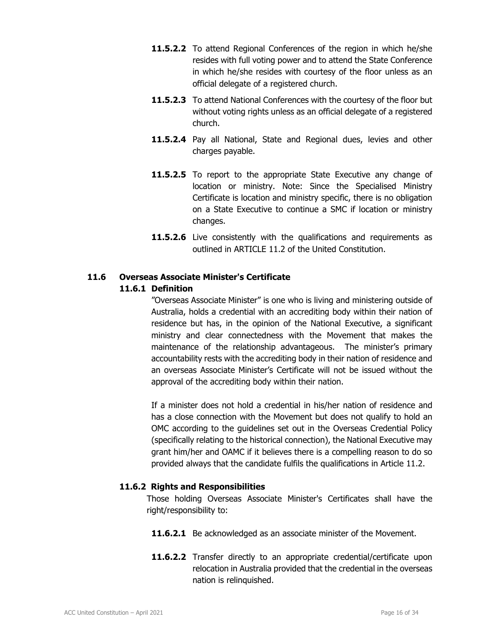- **11.5.2.2** To attend Regional Conferences of the region in which he/she resides with full voting power and to attend the State Conference in which he/she resides with courtesy of the floor unless as an official delegate of a registered church.
- **11.5.2.3** To attend National Conferences with the courtesy of the floor but without voting rights unless as an official delegate of a registered church.
- **11.5.2.4** Pay all National, State and Regional dues, levies and other charges payable.
- 11.5.2.5 To report to the appropriate State Executive any change of location or ministry. Note: Since the Specialised Ministry Certificate is location and ministry specific, there is no obligation on a State Executive to continue a SMC if location or ministry changes.
- **11.5.2.6** Live consistently with the qualifications and requirements as outlined in ARTICLE 11.2 of the United Constitution.

# **11.6 Overseas Associate Minister's Certificate**

### **11.6.1 Definition**

 "Overseas Associate Minister" is one who is living and ministering outside of Australia, holds a credential with an accrediting body within their nation of residence but has, in the opinion of the National Executive, a significant ministry and clear connectedness with the Movement that makes the maintenance of the relationship advantageous. The minister's primary accountability rests with the accrediting body in their nation of residence and an overseas Associate Minister's Certificate will not be issued without the approval of the accrediting body within their nation.

 If a minister does not hold a credential in his/her nation of residence and has a close connection with the Movement but does not qualify to hold an OMC according to the guidelines set out in the Overseas Credential Policy (specifically relating to the historical connection), the National Executive may grant him/her and OAMC if it believes there is a compelling reason to do so provided always that the candidate fulfils the qualifications in Article 11.2.

### **11.6.2 Rights and Responsibilities**

Those holding Overseas Associate Minister's Certificates shall have the right/responsibility to:

- **11.6.2.1** Be acknowledged as an associate minister of the Movement.
- **11.6.2.2** Transfer directly to an appropriate credential/certificate upon relocation in Australia provided that the credential in the overseas nation is relinquished.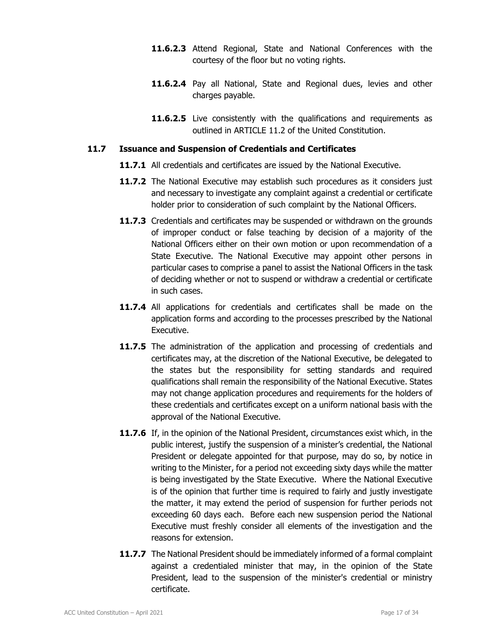- **11.6.2.3** Attend Regional, State and National Conferences with the courtesy of the floor but no voting rights.
- **11.6.2.4** Pay all National, State and Regional dues, levies and other charges payable.
- **11.6.2.5** Live consistently with the qualifications and requirements as outlined in ARTICLE 11.2 of the United Constitution.

### **11.7 Issuance and Suspension of Credentials and Certificates**

- **11.7.1** All credentials and certificates are issued by the National Executive.
- **11.7.2** The National Executive may establish such procedures as it considers just and necessary to investigate any complaint against a credential or certificate holder prior to consideration of such complaint by the National Officers.
- **11.7.3** Credentials and certificates may be suspended or withdrawn on the grounds of improper conduct or false teaching by decision of a majority of the National Officers either on their own motion or upon recommendation of a State Executive. The National Executive may appoint other persons in particular cases to comprise a panel to assist the National Officers in the task of deciding whether or not to suspend or withdraw a credential or certificate in such cases.
- **11.7.4** All applications for credentials and certificates shall be made on the application forms and according to the processes prescribed by the National Executive.
- **11.7.5** The administration of the application and processing of credentials and certificates may, at the discretion of the National Executive, be delegated to the states but the responsibility for setting standards and required qualifications shall remain the responsibility of the National Executive. States may not change application procedures and requirements for the holders of these credentials and certificates except on a uniform national basis with the approval of the National Executive.
- **11.7.6** If, in the opinion of the National President, circumstances exist which, in the public interest, justify the suspension of a minister's credential, the National President or delegate appointed for that purpose, may do so, by notice in writing to the Minister, for a period not exceeding sixty days while the matter is being investigated by the State Executive. Where the National Executive is of the opinion that further time is required to fairly and justly investigate the matter, it may extend the period of suspension for further periods not exceeding 60 days each. Before each new suspension period the National Executive must freshly consider all elements of the investigation and the reasons for extension.
- **11.7.7** The National President should be immediately informed of a formal complaint against a credentialed minister that may, in the opinion of the State President, lead to the suspension of the minister's credential or ministry certificate.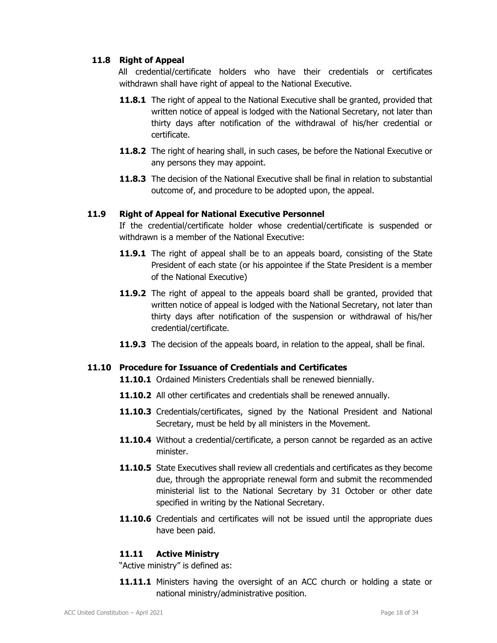# **11.8 Right of Appeal**

All credential/certificate holders who have their credentials or certificates withdrawn shall have right of appeal to the National Executive.

- **11.8.1** The right of appeal to the National Executive shall be granted, provided that written notice of appeal is lodged with the National Secretary, not later than thirty days after notification of the withdrawal of his/her credential or certificate.
- **11.8.2** The right of hearing shall, in such cases, be before the National Executive or any persons they may appoint.
- **11.8.3** The decision of the National Executive shall be final in relation to substantial outcome of, and procedure to be adopted upon, the appeal.

# **11.9 Right of Appeal for National Executive Personnel**

 If the credential/certificate holder whose credential/certificate is suspended or withdrawn is a member of the National Executive:

- **11.9.1** The right of appeal shall be to an appeals board, consisting of the State President of each state (or his appointee if the State President is a member of the National Executive)
- **11.9.2** The right of appeal to the appeals board shall be granted, provided that written notice of appeal is lodged with the National Secretary, not later than thirty days after notification of the suspension or withdrawal of his/her credential/certificate.
- **11.9.3** The decision of the appeals board, in relation to the appeal, shall be final.

# **11.10 Procedure for Issuance of Credentials and Certificates**

- 11.10.1 Ordained Ministers Credentials shall be renewed biennially.
- **11.10.2** All other certificates and credentials shall be renewed annually.
- **11.10.3** Credentials/certificates, signed by the National President and National Secretary, must be held by all ministers in the Movement.
- **11.10.4** Without a credential/certificate, a person cannot be regarded as an active minister.
- **11.10.5** State Executives shall review all credentials and certificates as they become due, through the appropriate renewal form and submit the recommended ministerial list to the National Secretary by 31 October or other date specified in writing by the National Secretary.
- **11.10.6** Credentials and certificates will not be issued until the appropriate dues have been paid.

# **11.11 Active Ministry**

"Active ministry" is defined as:

**11.11.1** Ministers having the oversight of an ACC church or holding a state or national ministry/administrative position.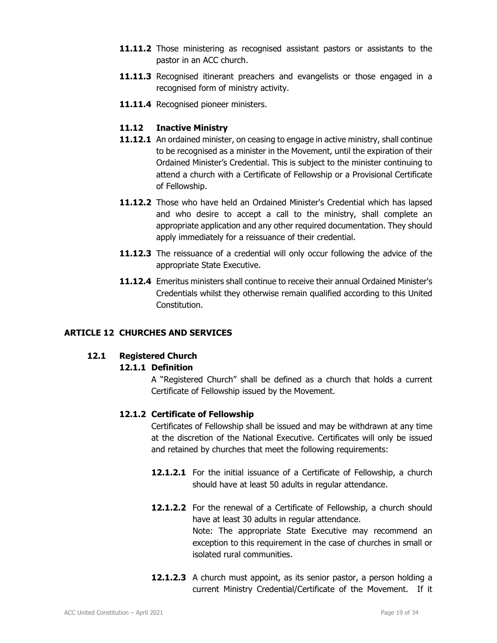- **11.11.2** Those ministering as recognised assistant pastors or assistants to the pastor in an ACC church.
- **11.11.3** Recognised itinerant preachers and evangelists or those engaged in a recognised form of ministry activity.
- 11.11.4 Recognised pioneer ministers.

### **11.12 Inactive Ministry**

- **11.12.1** An ordained minister, on ceasing to engage in active ministry, shall continue to be recognised as a minister in the Movement, until the expiration of their Ordained Minister's Credential. This is subject to the minister continuing to attend a church with a Certificate of Fellowship or a Provisional Certificate of Fellowship.
- **11.12.2** Those who have held an Ordained Minister's Credential which has lapsed and who desire to accept a call to the ministry, shall complete an appropriate application and any other required documentation. They should apply immediately for a reissuance of their credential.
- **11.12.3** The reissuance of a credential will only occur following the advice of the appropriate State Executive.
- **11.12.4** Emeritus ministers shall continue to receive their annual Ordained Minister's Credentials whilst they otherwise remain qualified according to this United Constitution.

# **ARTICLE 12 CHURCHES AND SERVICES**

### **12.1 Registered Church**

# **12.1.1 Definition**

 A "Registered Church" shall be defined as a church that holds a current Certificate of Fellowship issued by the Movement.

# **12.1.2 Certificate of Fellowship**

 Certificates of Fellowship shall be issued and may be withdrawn at any time at the discretion of the National Executive. Certificates will only be issued and retained by churches that meet the following requirements:

- **12.1.2.1** For the initial issuance of a Certificate of Fellowship, a church should have at least 50 adults in regular attendance.
- **12.1.2.2** For the renewal of a Certificate of Fellowship, a church should have at least 30 adults in regular attendance. Note: The appropriate State Executive may recommend an exception to this requirement in the case of churches in small or isolated rural communities.
- **12.1.2.3** A church must appoint, as its senior pastor, a person holding a current Ministry Credential/Certificate of the Movement. If it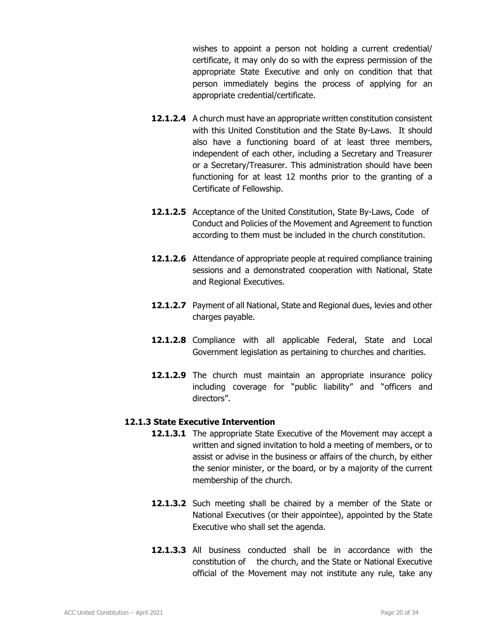wishes to appoint a person not holding a current credential/ certificate, it may only do so with the express permission of the appropriate State Executive and only on condition that that person immediately begins the process of applying for an appropriate credential/certificate.

- **12.1.2.4** A church must have an appropriate written constitution consistent with this United Constitution and the State By-Laws. It should also have a functioning board of at least three members, independent of each other, including a Secretary and Treasurer or a Secretary/Treasurer. This administration should have been functioning for at least 12 months prior to the granting of a Certificate of Fellowship.
- **12.1.2.5** Acceptance of the United Constitution, State By-Laws, Code of Conduct and Policies of the Movement and Agreement to function according to them must be included in the church constitution.
- **12.1.2.6** Attendance of appropriate people at required compliance training sessions and a demonstrated cooperation with National, State and Regional Executives.
- **12.1.2.7** Payment of all National, State and Regional dues, levies and other charges payable.
- **12.1.2.8** Compliance with all applicable Federal, State and Local Government legislation as pertaining to churches and charities.
- **12.1.2.9** The church must maintain an appropriate insurance policy including coverage for "public liability" and "officers and directors".

### **12.1.3 State Executive Intervention**

- **12.1.3.1** The appropriate State Executive of the Movement may accept a written and signed invitation to hold a meeting of members, or to assist or advise in the business or affairs of the church, by either the senior minister, or the board, or by a majority of the current membership of the church.
- **12.1.3.2** Such meeting shall be chaired by a member of the State or National Executives (or their appointee), appointed by the State Executive who shall set the agenda.
- **12.1.3.3** All business conducted shall be in accordance with the constitution of the church, and the State or National Executive official of the Movement may not institute any rule, take any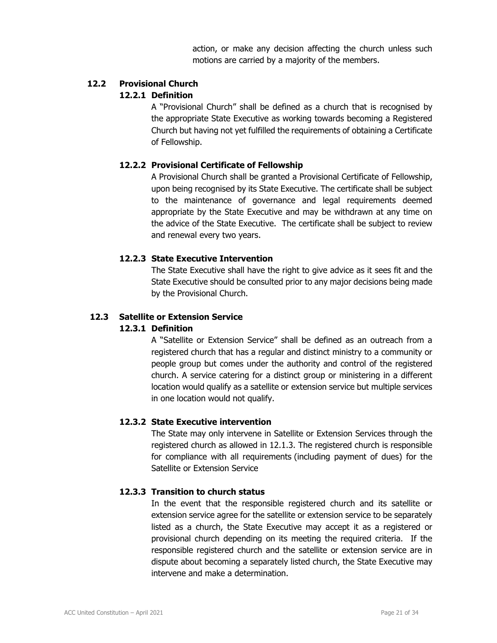action, or make any decision affecting the church unless such motions are carried by a majority of the members.

### **12.2 Provisional Church**

### **12.2.1 Definition**

 A "Provisional Church" shall be defined as a church that is recognised by the appropriate State Executive as working towards becoming a Registered Church but having not yet fulfilled the requirements of obtaining a Certificate of Fellowship.

# **12.2.2 Provisional Certificate of Fellowship**

 A Provisional Church shall be granted a Provisional Certificate of Fellowship, upon being recognised by its State Executive. The certificate shall be subject to the maintenance of governance and legal requirements deemed appropriate by the State Executive and may be withdrawn at any time on the advice of the State Executive. The certificate shall be subject to review and renewal every two years.

### **12.2.3 State Executive Intervention**

 The State Executive shall have the right to give advice as it sees fit and the State Executive should be consulted prior to any major decisions being made by the Provisional Church.

# **12.3 Satellite or Extension Service**

### **12.3.1 Definition**

 A "Satellite or Extension Service" shall be defined as an outreach from a registered church that has a regular and distinct ministry to a community or people group but comes under the authority and control of the registered church. A service catering for a distinct group or ministering in a different location would qualify as a satellite or extension service but multiple services in one location would not qualify.

# **12.3.2 State Executive intervention**

 The State may only intervene in Satellite or Extension Services through the registered church as allowed in 12.1.3. The registered church is responsible for compliance with all requirements (including payment of dues) for the Satellite or Extension Service

### **12.3.3 Transition to church status**

In the event that the responsible registered church and its satellite or extension service agree for the satellite or extension service to be separately listed as a church, the State Executive may accept it as a registered or provisional church depending on its meeting the required criteria. If the responsible registered church and the satellite or extension service are in dispute about becoming a separately listed church, the State Executive may intervene and make a determination.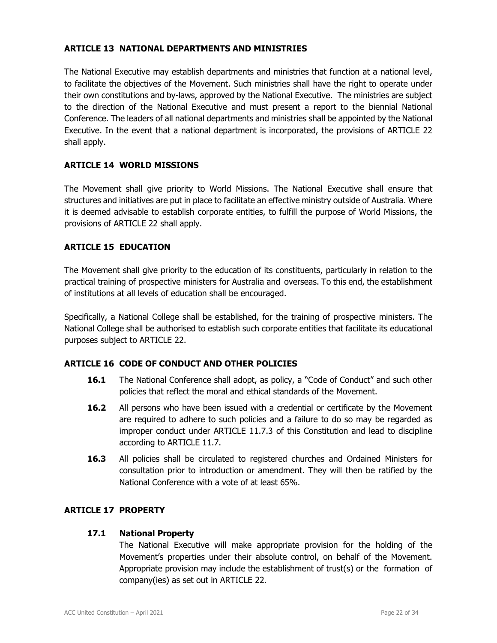### **ARTICLE 13 NATIONAL DEPARTMENTS AND MINISTRIES**

The National Executive may establish departments and ministries that function at a national level, to facilitate the objectives of the Movement. Such ministries shall have the right to operate under their own constitutions and by-laws, approved by the National Executive. The ministries are subject to the direction of the National Executive and must present a report to the biennial National Conference. The leaders of all national departments and ministries shall be appointed by the National Executive. In the event that a national department is incorporated, the provisions of ARTICLE 22 shall apply.

### **ARTICLE 14 WORLD MISSIONS**

The Movement shall give priority to World Missions. The National Executive shall ensure that structures and initiatives are put in place to facilitate an effective ministry outside of Australia. Where it is deemed advisable to establish corporate entities, to fulfill the purpose of World Missions, the provisions of ARTICLE 22 shall apply.

### **ARTICLE 15 EDUCATION**

The Movement shall give priority to the education of its constituents, particularly in relation to the practical training of prospective ministers for Australia and overseas. To this end, the establishment of institutions at all levels of education shall be encouraged.

Specifically, a National College shall be established, for the training of prospective ministers. The National College shall be authorised to establish such corporate entities that facilitate its educational purposes subject to ARTICLE 22.

# **ARTICLE 16 CODE OF CONDUCT AND OTHER POLICIES**

- **16.1** The National Conference shall adopt, as policy, a "Code of Conduct" and such other policies that reflect the moral and ethical standards of the Movement.
- **16.2** All persons who have been issued with a credential or certificate by the Movement are required to adhere to such policies and a failure to do so may be regarded as improper conduct under ARTICLE 11.7.3 of this Constitution and lead to discipline according to ARTICLE 11.7.
- **16.3** All policies shall be circulated to registered churches and Ordained Ministers for consultation prior to introduction or amendment. They will then be ratified by the National Conference with a vote of at least 65%.

### **ARTICLE 17 PROPERTY**

### **17.1 National Property**

 The National Executive will make appropriate provision for the holding of the Movement's properties under their absolute control, on behalf of the Movement. Appropriate provision may include the establishment of trust(s) or the formation of company(ies) as set out in ARTICLE 22.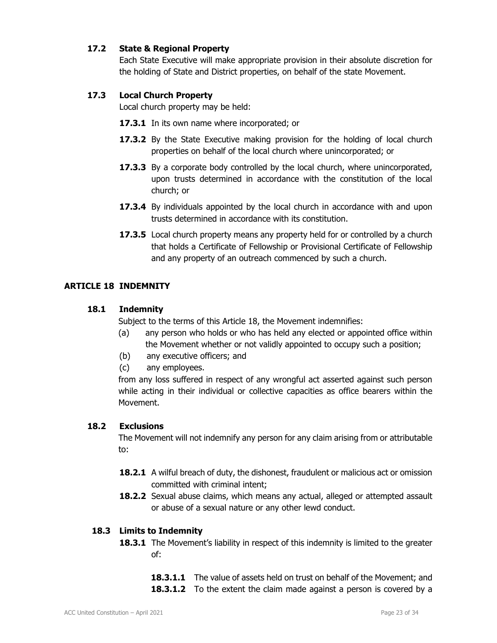# **17.2 State & Regional Property**

 Each State Executive will make appropriate provision in their absolute discretion for the holding of State and District properties, on behalf of the state Movement.

# **17.3 Local Church Property**

Local church property may be held:

- **17.3.1** In its own name where incorporated; or
- **17.3.2** By the State Executive making provision for the holding of local church properties on behalf of the local church where unincorporated; or
- **17.3.3** By a corporate body controlled by the local church, where unincorporated, upon trusts determined in accordance with the constitution of the local church; or
- **17.3.4** By individuals appointed by the local church in accordance with and upon trusts determined in accordance with its constitution.
- **17.3.5** Local church property means any property held for or controlled by a church that holds a Certificate of Fellowship or Provisional Certificate of Fellowship and any property of an outreach commenced by such a church.

### **ARTICLE 18 INDEMNITY**

### **18.1 Indemnity**

Subject to the terms of this Article 18, the Movement indemnifies:

- (a) any person who holds or who has held any elected or appointed office within the Movement whether or not validly appointed to occupy such a position;
- (b) any executive officers; and
- (c) any employees.

from any loss suffered in respect of any wrongful act asserted against such person while acting in their individual or collective capacities as office bearers within the Movement.

### **18.2 Exclusions**

The Movement will not indemnify any person for any claim arising from or attributable to:

- **18.2.1** A wilful breach of duty, the dishonest, fraudulent or malicious act or omission committed with criminal intent;
- **18.2.2** Sexual abuse claims, which means any actual, alleged or attempted assault or abuse of a sexual nature or any other lewd conduct.

### **18.3 Limits to Indemnity**

- **18.3.1** The Movement's liability in respect of this indemnity is limited to the greater of:
	- **18.3.1.1** The value of assets held on trust on behalf of the Movement; and
	- **18.3.1.2** To the extent the claim made against a person is covered by a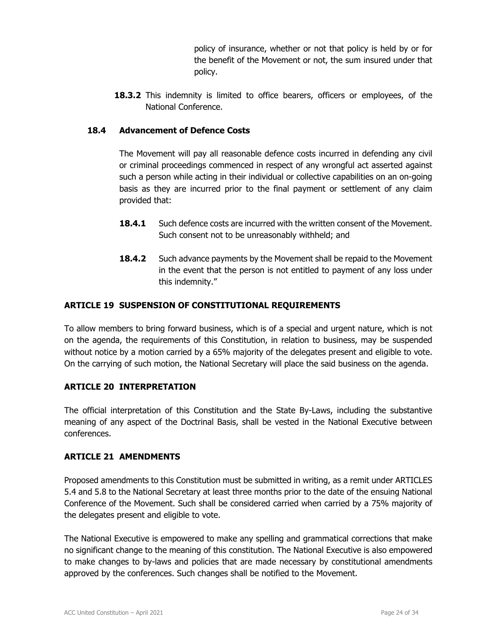policy of insurance, whether or not that policy is held by or for the benefit of the Movement or not, the sum insured under that policy.

**18.3.2** This indemnity is limited to office bearers, officers or employees, of the National Conference.

# **18.4 Advancement of Defence Costs**

 The Movement will pay all reasonable defence costs incurred in defending any civil or criminal proceedings commenced in respect of any wrongful act asserted against such a person while acting in their individual or collective capabilities on an on-going basis as they are incurred prior to the final payment or settlement of any claim provided that:

- **18.4.1** Such defence costs are incurred with the written consent of the Movement. Such consent not to be unreasonably withheld; and
- **18.4.2** Such advance payments by the Movement shall be repaid to the Movement in the event that the person is not entitled to payment of any loss under this indemnity."

# **ARTICLE 19 SUSPENSION OF CONSTITUTIONAL REQUIREMENTS**

To allow members to bring forward business, which is of a special and urgent nature, which is not on the agenda, the requirements of this Constitution, in relation to business, may be suspended without notice by a motion carried by a 65% majority of the delegates present and eligible to vote. On the carrying of such motion, the National Secretary will place the said business on the agenda.

# **ARTICLE 20 INTERPRETATION**

The official interpretation of this Constitution and the State By-Laws, including the substantive meaning of any aspect of the Doctrinal Basis, shall be vested in the National Executive between conferences.

# **ARTICLE 21 AMENDMENTS**

Proposed amendments to this Constitution must be submitted in writing, as a remit under ARTICLES 5.4 and 5.8 to the National Secretary at least three months prior to the date of the ensuing National Conference of the Movement. Such shall be considered carried when carried by a 75% majority of the delegates present and eligible to vote.

The National Executive is empowered to make any spelling and grammatical corrections that make no significant change to the meaning of this constitution. The National Executive is also empowered to make changes to by-laws and policies that are made necessary by constitutional amendments approved by the conferences. Such changes shall be notified to the Movement.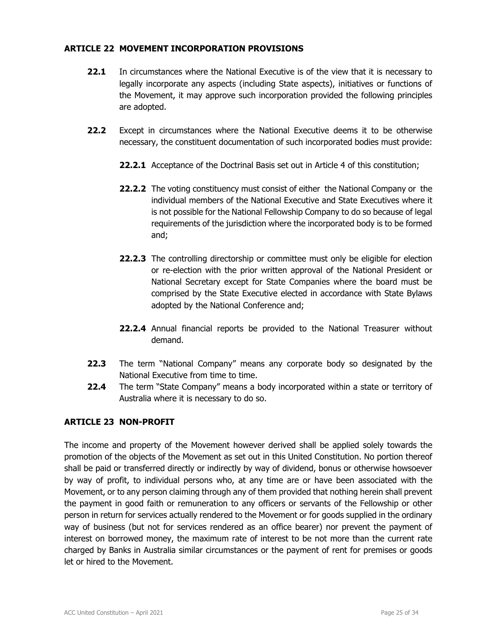### **ARTICLE 22 MOVEMENT INCORPORATION PROVISIONS**

- **22.1** In circumstances where the National Executive is of the view that it is necessary to legally incorporate any aspects (including State aspects), initiatives or functions of the Movement, it may approve such incorporation provided the following principles are adopted.
- **22.2** Except in circumstances where the National Executive deems it to be otherwise necessary, the constituent documentation of such incorporated bodies must provide:
	- **22.2.1** Acceptance of the Doctrinal Basis set out in Article 4 of this constitution;
	- **22.2.2** The voting constituency must consist of either the National Company or the individual members of the National Executive and State Executives where it is not possible for the National Fellowship Company to do so because of legal requirements of the jurisdiction where the incorporated body is to be formed and;
	- **22.2.3** The controlling directorship or committee must only be eligible for election or re-election with the prior written approval of the National President or National Secretary except for State Companies where the board must be comprised by the State Executive elected in accordance with State Bylaws adopted by the National Conference and;
	- **22.2.4** Annual financial reports be provided to the National Treasurer without demand.
- **22.3** The term "National Company" means any corporate body so designated by the National Executive from time to time.
- **22.4** The term "State Company" means a body incorporated within a state or territory of Australia where it is necessary to do so.

# **ARTICLE 23 NON-PROFIT**

The income and property of the Movement however derived shall be applied solely towards the promotion of the objects of the Movement as set out in this United Constitution. No portion thereof shall be paid or transferred directly or indirectly by way of dividend, bonus or otherwise howsoever by way of profit, to individual persons who, at any time are or have been associated with the Movement, or to any person claiming through any of them provided that nothing herein shall prevent the payment in good faith or remuneration to any officers or servants of the Fellowship or other person in return for services actually rendered to the Movement or for goods supplied in the ordinary way of business (but not for services rendered as an office bearer) nor prevent the payment of interest on borrowed money, the maximum rate of interest to be not more than the current rate charged by Banks in Australia similar circumstances or the payment of rent for premises or goods let or hired to the Movement.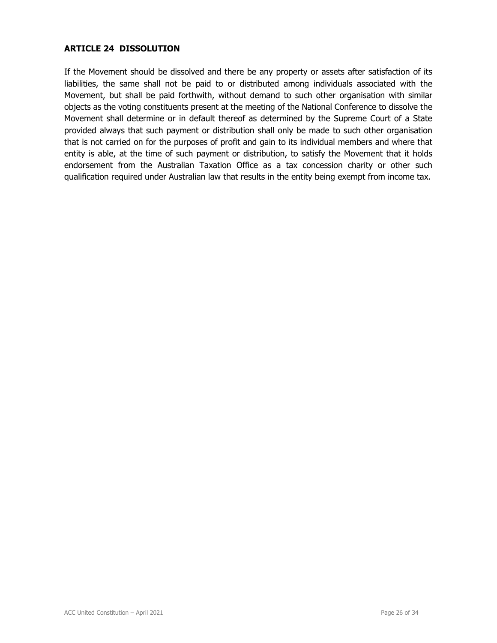### **ARTICLE 24 DISSOLUTION**

If the Movement should be dissolved and there be any property or assets after satisfaction of its liabilities, the same shall not be paid to or distributed among individuals associated with the Movement, but shall be paid forthwith, without demand to such other organisation with similar objects as the voting constituents present at the meeting of the National Conference to dissolve the Movement shall determine or in default thereof as determined by the Supreme Court of a State provided always that such payment or distribution shall only be made to such other organisation that is not carried on for the purposes of profit and gain to its individual members and where that entity is able, at the time of such payment or distribution, to satisfy the Movement that it holds endorsement from the Australian Taxation Office as a tax concession charity or other such qualification required under Australian law that results in the entity being exempt from income tax.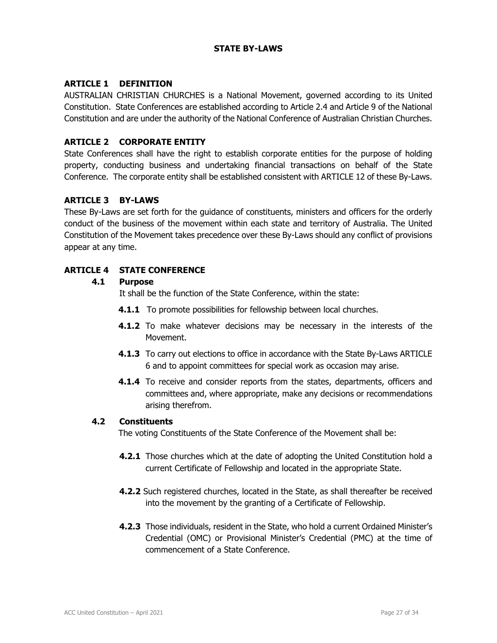# **STATE BY-LAWS**

### **ARTICLE 1 DEFINITION**

AUSTRALIAN CHRISTIAN CHURCHES is a National Movement, governed according to its United Constitution. State Conferences are established according to Article 2.4 and Article 9 of the National Constitution and are under the authority of the National Conference of Australian Christian Churches.

### **ARTICLE 2 CORPORATE ENTITY**

State Conferences shall have the right to establish corporate entities for the purpose of holding property, conducting business and undertaking financial transactions on behalf of the State Conference. The corporate entity shall be established consistent with ARTICLE 12 of these By-Laws.

### **ARTICLE 3 BY-LAWS**

These By-Laws are set forth for the guidance of constituents, ministers and officers for the orderly conduct of the business of the movement within each state and territory of Australia. The United Constitution of the Movement takes precedence over these By-Laws should any conflict of provisions appear at any time.

### **ARTICLE 4 STATE CONFERENCE**

### **4.1 Purpose**

It shall be the function of the State Conference, within the state:

- **4.1.1** To promote possibilities for fellowship between local churches.
- **4.1.2** To make whatever decisions may be necessary in the interests of the Movement.
- **4.1.3** To carry out elections to office in accordance with the State By-Laws ARTICLE 6 and to appoint committees for special work as occasion may arise.
- **4.1.4** To receive and consider reports from the states, departments, officers and committees and, where appropriate, make any decisions or recommendations arising therefrom.

### **4.2 Constituents**

The voting Constituents of the State Conference of the Movement shall be:

- **4.2.1** Those churches which at the date of adopting the United Constitution hold a current Certificate of Fellowship and located in the appropriate State.
- **4.2.2** Such registered churches, located in the State, as shall thereafter be received into the movement by the granting of a Certificate of Fellowship.
- **4.2.3** Those individuals, resident in the State, who hold a current Ordained Minister's Credential (OMC) or Provisional Minister's Credential (PMC) at the time of commencement of a State Conference.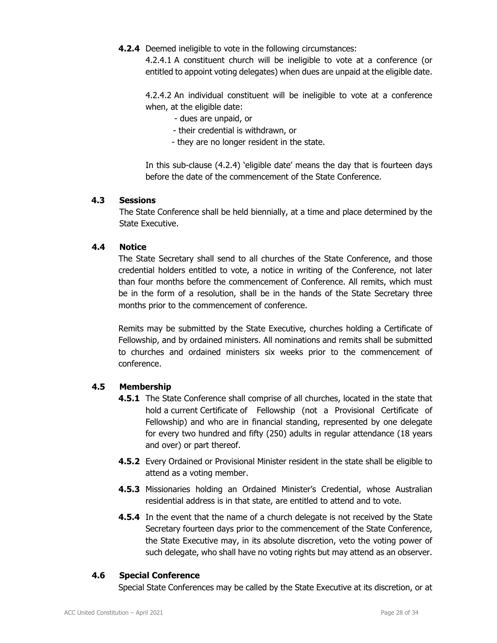**4.2.4** Deemed ineligible to vote in the following circumstances:

4.2.4.1 A constituent church will be ineligible to vote at a conference (or entitled to appoint voting delegates) when dues are unpaid at the eligible date.

4.2.4.2 An individual constituent will be ineligible to vote at a conference when, at the eligible date:

- dues are unpaid, or
- their credential is withdrawn, or
- they are no longer resident in the state.

In this sub-clause (4.2.4) 'eligible date' means the day that is fourteen days before the date of the commencement of the State Conference.

### **4.3 Sessions**

The State Conference shall be held biennially, at a time and place determined by the State Executive.

### **4.4 Notice**

The State Secretary shall send to all churches of the State Conference, and those credential holders entitled to vote, a notice in writing of the Conference, not later than four months before the commencement of Conference. All remits, which must be in the form of a resolution, shall be in the hands of the State Secretary three months prior to the commencement of conference.

Remits may be submitted by the State Executive, churches holding a Certificate of Fellowship, and by ordained ministers. All nominations and remits shall be submitted to churches and ordained ministers six weeks prior to the commencement of conference.

# **4.5 Membership**

- **4.5.1** The State Conference shall comprise of all churches, located in the state that hold a current Certificate of Fellowship (not a Provisional Certificate of Fellowship) and who are in financial standing, represented by one delegate for every two hundred and fifty (250) adults in regular attendance (18 years and over) or part thereof.
- **4.5.2** Every Ordained or Provisional Minister resident in the state shall be eligible to attend as a voting member.
- **4.5.3** Missionaries holding an Ordained Minister's Credential, whose Australian residential address is in that state, are entitled to attend and to vote.
- **4.5.4** In the event that the name of a church delegate is not received by the State Secretary fourteen days prior to the commencement of the State Conference, the State Executive may, in its absolute discretion, veto the voting power of such delegate, who shall have no voting rights but may attend as an observer.

### **4.6 Special Conference**

Special State Conferences may be called by the State Executive at its discretion, or at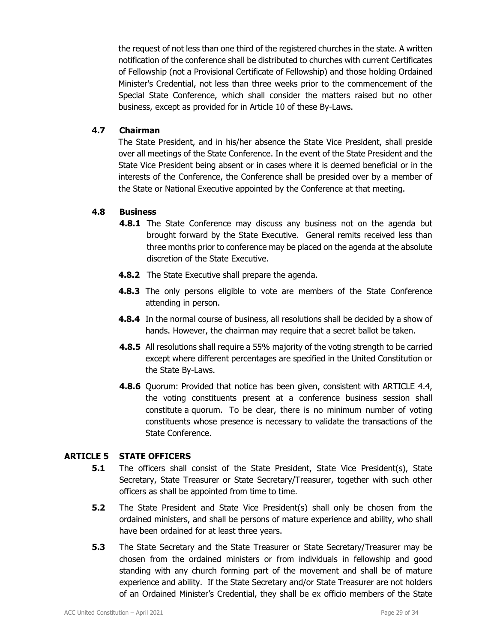the request of not less than one third of the registered churches in the state. A written notification of the conference shall be distributed to churches with current Certificates of Fellowship (not a Provisional Certificate of Fellowship) and those holding Ordained Minister's Credential, not less than three weeks prior to the commencement of the Special State Conference, which shall consider the matters raised but no other business, except as provided for in Article 10 of these By-Laws.

### **4.7 Chairman**

The State President, and in his/her absence the State Vice President, shall preside over all meetings of the State Conference. In the event of the State President and the State Vice President being absent or in cases where it is deemed beneficial or in the interests of the Conference, the Conference shall be presided over by a member of the State or National Executive appointed by the Conference at that meeting.

# **4.8 Business**

- **4.8.1** The State Conference may discuss any business not on the agenda but brought forward by the State Executive. General remits received less than three months prior to conference may be placed on the agenda at the absolute discretion of the State Executive.
- **4.8.2** The State Executive shall prepare the agenda.
- **4.8.3** The only persons eligible to vote are members of the State Conference attending in person.
- **4.8.4** In the normal course of business, all resolutions shall be decided by a show of hands. However, the chairman may require that a secret ballot be taken.
- **4.8.5** All resolutions shall require a 55% majority of the voting strength to be carried except where different percentages are specified in the United Constitution or the State By-Laws.
- **4.8.6** Quorum: Provided that notice has been given, consistent with ARTICLE 4.4, the voting constituents present at a conference business session shall constitute a quorum. To be clear, there is no minimum number of voting constituents whose presence is necessary to validate the transactions of the State Conference.

# **ARTICLE 5 STATE OFFICERS**

- **5.1** The officers shall consist of the State President, State Vice President(s), State Secretary, State Treasurer or State Secretary/Treasurer, together with such other officers as shall be appointed from time to time.
- **5.2** The State President and State Vice President(s) shall only be chosen from the ordained ministers, and shall be persons of mature experience and ability, who shall have been ordained for at least three years.
- **5.3** The State Secretary and the State Treasurer or State Secretary/Treasurer may be chosen from the ordained ministers or from individuals in fellowship and good standing with any church forming part of the movement and shall be of mature experience and ability. If the State Secretary and/or State Treasurer are not holders of an Ordained Minister's Credential, they shall be ex officio members of the State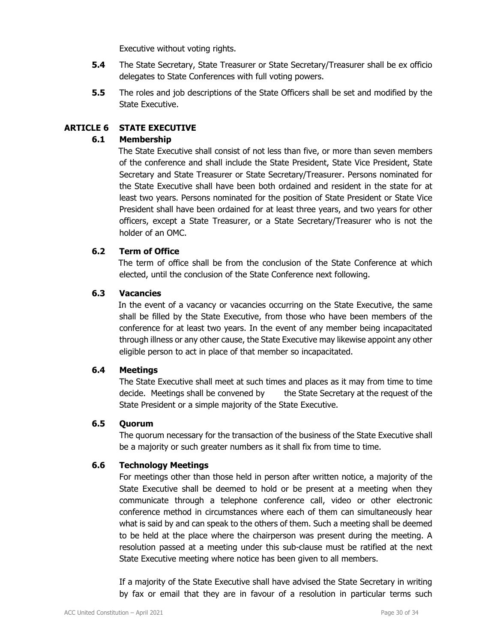Executive without voting rights.

- **5.4** The State Secretary, State Treasurer or State Secretary/Treasurer shall be ex officio delegates to State Conferences with full voting powers.
- **5.5** The roles and job descriptions of the State Officers shall be set and modified by the State Executive.

# **ARTICLE 6 STATE EXECUTIVE**

### **6.1 Membership**

The State Executive shall consist of not less than five, or more than seven members of the conference and shall include the State President, State Vice President, State Secretary and State Treasurer or State Secretary/Treasurer. Persons nominated for the State Executive shall have been both ordained and resident in the state for at least two years. Persons nominated for the position of State President or State Vice President shall have been ordained for at least three years, and two years for other officers, except a State Treasurer, or a State Secretary/Treasurer who is not the holder of an OMC.

### **6.2 Term of Office**

The term of office shall be from the conclusion of the State Conference at which elected, until the conclusion of the State Conference next following.

### **6.3 Vacancies**

In the event of a vacancy or vacancies occurring on the State Executive, the same shall be filled by the State Executive, from those who have been members of the conference for at least two years. In the event of any member being incapacitated through illness or any other cause, the State Executive may likewise appoint any other eligible person to act in place of that member so incapacitated.

### **6.4 Meetings**

 The State Executive shall meet at such times and places as it may from time to time decide. Meetings shall be convened by the State Secretary at the request of the State President or a simple majority of the State Executive.

### **6.5 Quorum**

The quorum necessary for the transaction of the business of the State Executive shall be a majority or such greater numbers as it shall fix from time to time.

### **6.6 Technology Meetings**

For meetings other than those held in person after written notice, a majority of the State Executive shall be deemed to hold or be present at a meeting when they communicate through a telephone conference call, video or other electronic conference method in circumstances where each of them can simultaneously hear what is said by and can speak to the others of them. Such a meeting shall be deemed to be held at the place where the chairperson was present during the meeting. A resolution passed at a meeting under this sub-clause must be ratified at the next State Executive meeting where notice has been given to all members.

 If a majority of the State Executive shall have advised the State Secretary in writing by fax or email that they are in favour of a resolution in particular terms such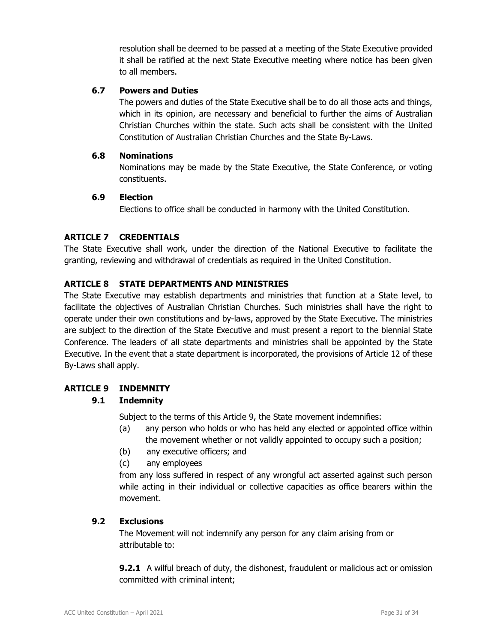resolution shall be deemed to be passed at a meeting of the State Executive provided it shall be ratified at the next State Executive meeting where notice has been given to all members.

### **6.7 Powers and Duties**

 The powers and duties of the State Executive shall be to do all those acts and things, which in its opinion, are necessary and beneficial to further the aims of Australian Christian Churches within the state. Such acts shall be consistent with the United Constitution of Australian Christian Churches and the State By-Laws.

### **6.8 Nominations**

 Nominations may be made by the State Executive, the State Conference, or voting constituents.

### **6.9 Election**

Elections to office shall be conducted in harmony with the United Constitution.

# **ARTICLE 7 CREDENTIALS**

The State Executive shall work, under the direction of the National Executive to facilitate the granting, reviewing and withdrawal of credentials as required in the United Constitution.

### **ARTICLE 8 STATE DEPARTMENTS AND MINISTRIES**

The State Executive may establish departments and ministries that function at a State level, to facilitate the objectives of Australian Christian Churches. Such ministries shall have the right to operate under their own constitutions and by-laws, approved by the State Executive. The ministries are subject to the direction of the State Executive and must present a report to the biennial State Conference. The leaders of all state departments and ministries shall be appointed by the State Executive. In the event that a state department is incorporated, the provisions of Article 12 of these By-Laws shall apply.

# **ARTICLE 9 INDEMNITY**

# **9.1 Indemnity**

Subject to the terms of this Article 9, the State movement indemnifies:

- (a) any person who holds or who has held any elected or appointed office within the movement whether or not validly appointed to occupy such a position;
- (b) any executive officers; and
- (c) any employees

from any loss suffered in respect of any wrongful act asserted against such person while acting in their individual or collective capacities as office bearers within the movement.

### **9.2 Exclusions**

 The Movement will not indemnify any person for any claim arising from or attributable to:

**9.2.1** A wilful breach of duty, the dishonest, fraudulent or malicious act or omission committed with criminal intent;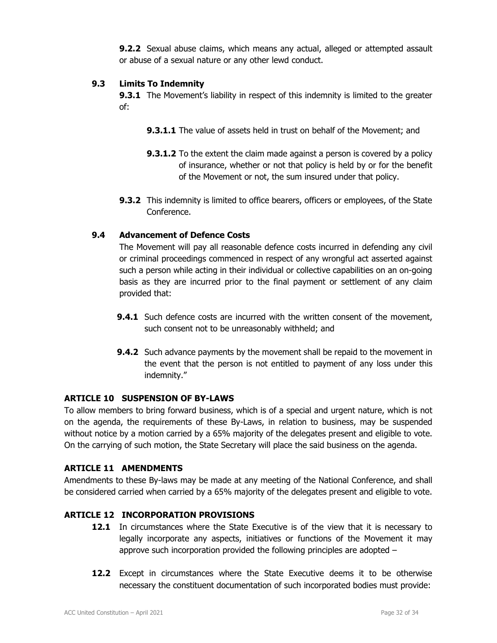**9.2.2** Sexual abuse claims, which means any actual, alleged or attempted assault or abuse of a sexual nature or any other lewd conduct.

### **9.3 Limits To Indemnity**

**9.3.1** The Movement's liability in respect of this indemnity is limited to the greater of:

- **9.3.1.1** The value of assets held in trust on behalf of the Movement; and
- **9.3.1.2** To the extent the claim made against a person is covered by a policy of insurance, whether or not that policy is held by or for the benefit of the Movement or not, the sum insured under that policy.
- **9.3.2** This indemnity is limited to office bearers, officers or employees, of the State Conference.

# **9.4 Advancement of Defence Costs**

 The Movement will pay all reasonable defence costs incurred in defending any civil or criminal proceedings commenced in respect of any wrongful act asserted against such a person while acting in their individual or collective capabilities on an on-going basis as they are incurred prior to the final payment or settlement of any claim provided that:

- **9.4.1** Such defence costs are incurred with the written consent of the movement, such consent not to be unreasonably withheld; and
- **9.4.2** Such advance payments by the movement shall be repaid to the movement in the event that the person is not entitled to payment of any loss under this indemnity."

# **ARTICLE 10 SUSPENSION OF BY-LAWS**

To allow members to bring forward business, which is of a special and urgent nature, which is not on the agenda, the requirements of these By-Laws, in relation to business, may be suspended without notice by a motion carried by a 65% majority of the delegates present and eligible to vote. On the carrying of such motion, the State Secretary will place the said business on the agenda.

### **ARTICLE 11 AMENDMENTS**

Amendments to these By-laws may be made at any meeting of the National Conference, and shall be considered carried when carried by a 65% majority of the delegates present and eligible to vote.

### **ARTICLE 12 INCORPORATION PROVISIONS**

- **12.1** In circumstances where the State Executive is of the view that it is necessary to legally incorporate any aspects, initiatives or functions of the Movement it may approve such incorporation provided the following principles are adopted –
- **12.2** Except in circumstances where the State Executive deems it to be otherwise necessary the constituent documentation of such incorporated bodies must provide: